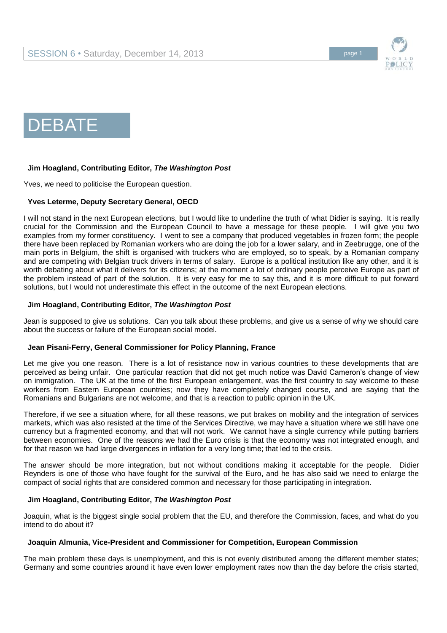



## **Jim Hoagland, Contributing Editor,** *The Washington Post*

Yves, we need to politicise the European question.

### **Yves Leterme, Deputy Secretary General, OECD**

I will not stand in the next European elections, but I would like to underline the truth of what Didier is saying. It is really crucial for the Commission and the European Council to have a message for these people. I will give you two examples from my former constituency. I went to see a company that produced vegetables in frozen form; the people there have been replaced by Romanian workers who are doing the job for a lower salary, and in Zeebrugge, one of the main ports in Belgium, the shift is organised with truckers who are employed, so to speak, by a Romanian company and are competing with Belgian truck drivers in terms of salary. Europe is a political institution like any other, and it is worth debating about what it delivers for its citizens; at the moment a lot of ordinary people perceive Europe as part of the problem instead of part of the solution. It is very easy for me to say this, and it is more difficult to put forward solutions, but I would not underestimate this effect in the outcome of the next European elections.

#### **Jim Hoagland, Contributing Editor,** *The Washington Post*

Jean is supposed to give us solutions. Can you talk about these problems, and give us a sense of why we should care about the success or failure of the European social model.

#### **Jean Pisani-Ferry, General Commissioner for Policy Planning, France**

Let me give you one reason. There is a lot of resistance now in various countries to these developments that are perceived as being unfair. One particular reaction that did not get much notice was David Cameron's change of view on immigration. The UK at the time of the first European enlargement, was the first country to say welcome to these workers from Eastern European countries; now they have completely changed course, and are saying that the Romanians and Bulgarians are not welcome, and that is a reaction to public opinion in the UK.

Therefore, if we see a situation where, for all these reasons, we put brakes on mobility and the integration of services markets, which was also resisted at the time of the Services Directive, we may have a situation where we still have one currency but a fragmented economy, and that will not work. We cannot have a single currency while putting barriers between economies. One of the reasons we had the Euro crisis is that the economy was not integrated enough, and for that reason we had large divergences in inflation for a very long time; that led to the crisis.

The answer should be more integration, but not without conditions making it acceptable for the people. Didier Reynders is one of those who have fought for the survival of the Euro, and he has also said we need to enlarge the compact of social rights that are considered common and necessary for those participating in integration.

#### **Jim Hoagland, Contributing Editor,** *The Washington Post*

Joaquin, what is the biggest single social problem that the EU, and therefore the Commission, faces, and what do you intend to do about it?

#### **Joaquin Almunia, Vice-President and Commissioner for Competition, European Commission**

The main problem these days is unemployment, and this is not evenly distributed among the different member states; Germany and some countries around it have even lower employment rates now than the day before the crisis started,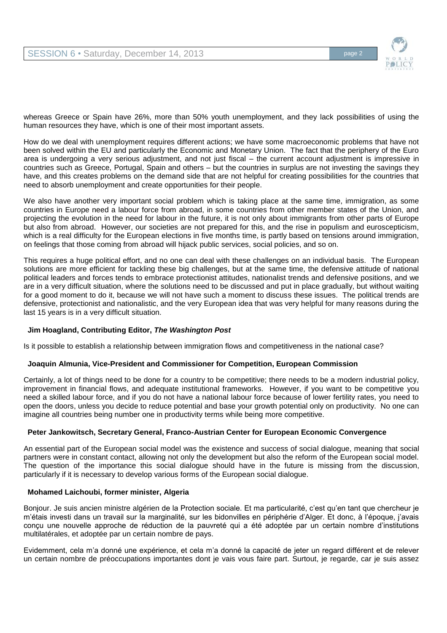

whereas Greece or Spain have 26%, more than 50% youth unemployment, and they lack possibilities of using the human resources they have, which is one of their most important assets.

How do we deal with unemployment requires different actions; we have some macroeconomic problems that have not been solved within the EU and particularly the Economic and Monetary Union. The fact that the periphery of the Euro area is undergoing a very serious adjustment, and not just fiscal – the current account adjustment is impressive in countries such as Greece, Portugal, Spain and others – but the countries in surplus are not investing the savings they have, and this creates problems on the demand side that are not helpful for creating possibilities for the countries that need to absorb unemployment and create opportunities for their people.

We also have another very important social problem which is taking place at the same time, immigration, as some countries in Europe need a labour force from abroad, in some countries from other member states of the Union, and projecting the evolution in the need for labour in the future, it is not only about immigrants from other parts of Europe but also from abroad. However, our societies are not prepared for this, and the rise in populism and euroscepticism, which is a real difficulty for the European elections in five months time, is partly based on tensions around immigration, on feelings that those coming from abroad will hijack public services, social policies, and so on.

This requires a huge political effort, and no one can deal with these challenges on an individual basis. The European solutions are more efficient for tackling these big challenges, but at the same time, the defensive attitude of national political leaders and forces tends to embrace protectionist attitudes, nationalist trends and defensive positions, and we are in a very difficult situation, where the solutions need to be discussed and put in place gradually, but without waiting for a good moment to do it, because we will not have such a moment to discuss these issues. The political trends are defensive, protectionist and nationalistic, and the very European idea that was very helpful for many reasons during the last 15 years is in a very difficult situation.

## **Jim Hoagland, Contributing Editor,** *The Washington Post*

Is it possible to establish a relationship between immigration flows and competitiveness in the national case?

#### **Joaquin Almunia, Vice-President and Commissioner for Competition, European Commission**

Certainly, a lot of things need to be done for a country to be competitive; there needs to be a modern industrial policy, improvement in financial flows, and adequate institutional frameworks. However, if you want to be competitive you need a skilled labour force, and if you do not have a national labour force because of lower fertility rates, you need to open the doors, unless you decide to reduce potential and base your growth potential only on productivity. No one can imagine all countries being number one in productivity terms while being more competitive.

#### **Peter Jankowitsch, Secretary General, Franco-Austrian Center for European Economic Convergence**

An essential part of the European social model was the existence and success of social dialogue, meaning that social partners were in constant contact, allowing not only the development but also the reform of the European social model. The question of the importance this social dialogue should have in the future is missing from the discussion, particularly if it is necessary to develop various forms of the European social dialogue.

### **Mohamed Laichoubi, former minister, Algeria**

Bonjour. Je suis ancien ministre algérien de la Protection sociale. Et ma particularité, c'est qu'en tant que chercheur je m'étais investi dans un travail sur la marginalité, sur les bidonvilles en périphérie d'Alger. Et donc, à l'époque, j'avais conçu une nouvelle approche de réduction de la pauvreté qui a été adoptée par un certain nombre d'institutions multilatérales, et adoptée par un certain nombre de pays.

Evidemment, cela m'a donné une expérience, et cela m'a donné la capacité de jeter un regard différent et de relever un certain nombre de préoccupations importantes dont je vais vous faire part. Surtout, je regarde, car je suis assez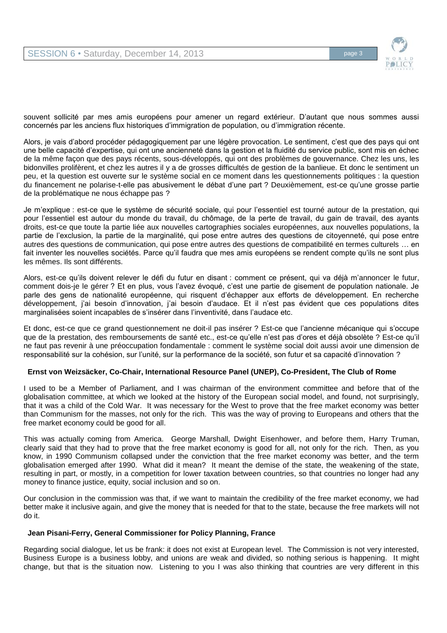

souvent sollicité par mes amis européens pour amener un regard extérieur. D'autant que nous sommes aussi concernés par les anciens flux historiques d'immigration de population, ou d'immigration récente.

Alors, je vais d'abord procéder pédagogiquement par une légère provocation. Le sentiment, c'est que des pays qui ont une belle capacité d'expertise, qui ont une ancienneté dans la gestion et la fluidité du service public, sont mis en échec de la même façon que des pays récents, sous-développés, qui ont des problèmes de gouvernance. Chez les uns, les bidonvilles prolifèrent, et chez les autres il y a de grosses difficultés de gestion de la banlieue. Et donc le sentiment un peu, et la question est ouverte sur le système social en ce moment dans les questionnements politiques : la question du financement ne polarise-t-elle pas abusivement le débat d'une part ? Deuxièmement, est-ce qu'une grosse partie de la problématique ne nous échappe pas ?

Je m'explique : est-ce que le système de sécurité sociale, qui pour l'essentiel est tourné autour de la prestation, qui pour l'essentiel est autour du monde du travail, du chômage, de la perte de travail, du gain de travail, des ayants droits, est-ce que toute la partie liée aux nouvelles cartographies sociales européennes, aux nouvelles populations, la partie de l'exclusion, la partie de la marginalité, qui pose entre autres des questions de citoyenneté, qui pose entre autres des questions de communication, qui pose entre autres des questions de compatibilité en termes culturels … en fait inventer les nouvelles sociétés. Parce qu'il faudra que mes amis européens se rendent compte qu'ils ne sont plus les mêmes. Ils sont différents.

Alors, est-ce qu'ils doivent relever le défi du futur en disant : comment ce présent, qui va déjà m'annoncer le futur, comment dois-je le gérer ? Et en plus, vous l'avez évoqué, c'est une partie de gisement de population nationale. Je parle des gens de nationalité européenne, qui risquent d'échapper aux efforts de développement. En recherche développement, j'ai besoin d'innovation, j'ai besoin d'audace. Et il n'est pas évident que ces populations dites marginalisées soient incapables de s'insérer dans l'inventivité, dans l'audace etc.

Et donc, est-ce que ce grand questionnement ne doit-il pas insérer ? Est-ce que l'ancienne mécanique qui s'occupe que de la prestation, des remboursements de santé etc., est-ce qu'elle n'est pas d'ores et déjà obsolète ? Est-ce qu'il ne faut pas revenir à une préoccupation fondamentale : comment le système social doit aussi avoir une dimension de responsabilité sur la cohésion, sur l'unité, sur la performance de la société, son futur et sa capacité d'innovation ?

## **Ernst von Weizsäcker, Co-Chair, International Resource Panel (UNEP), Co-President, The Club of Rome**

I used to be a Member of Parliament, and I was chairman of the environment committee and before that of the globalisation committee, at which we looked at the history of the European social model, and found, not surprisingly, that it was a child of the Cold War. It was necessary for the West to prove that the free market economy was better than Communism for the masses, not only for the rich. This was the way of proving to Europeans and others that the free market economy could be good for all.

This was actually coming from America. George Marshall, Dwight Eisenhower, and before them, Harry Truman, clearly said that they had to prove that the free market economy is good for all, not only for the rich. Then, as you know, in 1990 Communism collapsed under the conviction that the free market economy was better, and the term globalisation emerged after 1990. What did it mean? It meant the demise of the state, the weakening of the state, resulting in part, or mostly, in a competition for lower taxation between countries, so that countries no longer had any money to finance justice, equity, social inclusion and so on.

Our conclusion in the commission was that, if we want to maintain the credibility of the free market economy, we had better make it inclusive again, and give the money that is needed for that to the state, because the free markets will not do it.

#### **Jean Pisani-Ferry, General Commissioner for Policy Planning, France**

Regarding social dialogue, let us be frank: it does not exist at European level. The Commission is not very interested, Business Europe is a business lobby, and unions are weak and divided, so nothing serious is happening. It might change, but that is the situation now. Listening to you I was also thinking that countries are very different in this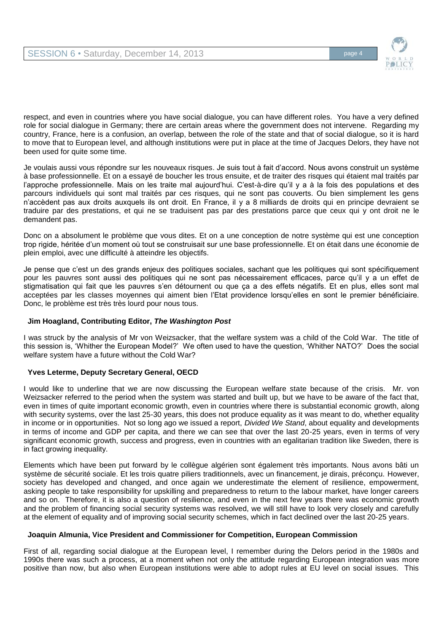

respect, and even in countries where you have social dialogue, you can have different roles. You have a very defined role for social dialogue in Germany; there are certain areas where the government does not intervene. Regarding my country, France, here is a confusion, an overlap, between the role of the state and that of social dialogue, so it is hard to move that to European level, and although institutions were put in place at the time of Jacques Delors, they have not been used for quite some time.

Je voulais aussi vous répondre sur les nouveaux risques. Je suis tout à fait d'accord. Nous avons construit un système à base professionnelle. Et on a essayé de boucher les trous ensuite, et de traiter des risques qui étaient mal traités par l'approche professionnelle. Mais on les traite mal aujourd'hui. C'est-à-dire qu'il y a à la fois des populations et des parcours individuels qui sont mal traités par ces risques, qui ne sont pas couverts. Ou bien simplement les gens n'accèdent pas aux droits auxquels ils ont droit. En France, il y a 8 milliards de droits qui en principe devraient se traduire par des prestations, et qui ne se traduisent pas par des prestations parce que ceux qui y ont droit ne le demandent pas.

Donc on a absolument le problème que vous dites. Et on a une conception de notre système qui est une conception trop rigide, héritée d'un moment où tout se construisait sur une base professionnelle. Et on était dans une économie de plein emploi, avec une difficulté à atteindre les objectifs.

Je pense que c'est un des grands enjeux des politiques sociales, sachant que les politiques qui sont spécifiquement pour les pauvres sont aussi des politiques qui ne sont pas nécessairement efficaces, parce qu'il y a un effet de stigmatisation qui fait que les pauvres s'en détournent ou que ça a des effets négatifs. Et en plus, elles sont mal acceptées par les classes moyennes qui aiment bien l'Etat providence lorsqu'elles en sont le premier bénéficiaire. Donc, le problème est très très lourd pour nous tous.

## **Jim Hoagland, Contributing Editor,** *The Washington Post*

I was struck by the analysis of Mr von Weizsacker, that the welfare system was a child of the Cold War. The title of this session is, 'Whither the European Model?' We often used to have the question, 'Whither NATO?' Does the social welfare system have a future without the Cold War?

## **Yves Leterme, Deputy Secretary General, OECD**

I would like to underline that we are now discussing the European welfare state because of the crisis. Mr. von Weizsacker referred to the period when the system was started and built up, but we have to be aware of the fact that, even in times of quite important economic growth, even in countries where there is substantial economic growth, along with security systems, over the last 25-30 years, this does not produce equality as it was meant to do, whether equality in income or in opportunities. Not so long ago we issued a report, *Divided We Stand*, about equality and developments in terms of income and GDP per capita, and there we can see that over the last 20-25 years, even in terms of very significant economic growth, success and progress, even in countries with an egalitarian tradition like Sweden, there is in fact growing inequality.

Elements which have been put forward by le collègue algérien sont également très importants. Nous avons bâti un système de sécurité sociale. Et les trois quatre piliers traditionnels, avec un financement, je dirais, préconçu. However, society has developed and changed, and once again we underestimate the element of resilience, empowerment, asking people to take responsibility for upskilling and preparedness to return to the labour market, have longer careers and so on. Therefore, it is also a question of resilience, and even in the next few years there was economic growth and the problem of financing social security systems was resolved, we will still have to look very closely and carefully at the element of equality and of improving social security schemes, which in fact declined over the last 20-25 years.

#### **Joaquin Almunia, Vice President and Commissioner for Competition, European Commission**

First of all, regarding social dialogue at the European level, I remember during the Delors period in the 1980s and 1990s there was such a process, at a moment when not only the attitude regarding European integration was more positive than now, but also when European institutions were able to adopt rules at EU level on social issues. This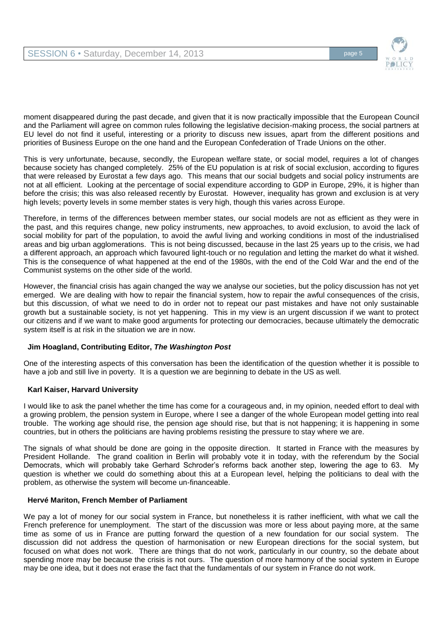

moment disappeared during the past decade, and given that it is now practically impossible that the European Council and the Parliament will agree on common rules following the legislative decision-making process, the social partners at EU level do not find it useful, interesting or a priority to discuss new issues, apart from the different positions and priorities of Business Europe on the one hand and the European Confederation of Trade Unions on the other.

This is very unfortunate, because, secondly, the European welfare state, or social model, requires a lot of changes because society has changed completely. 25% of the EU population is at risk of social exclusion, according to figures that were released by Eurostat a few days ago. This means that our social budgets and social policy instruments are not at all efficient. Looking at the percentage of social expenditure according to GDP in Europe, 29%, it is higher than before the crisis; this was also released recently by Eurostat. However, inequality has grown and exclusion is at very high levels; poverty levels in some member states is very high, though this varies across Europe.

Therefore, in terms of the differences between member states, our social models are not as efficient as they were in the past, and this requires change, new policy instruments, new approaches, to avoid exclusion, to avoid the lack of social mobility for part of the population, to avoid the awful living and working conditions in most of the industrialised areas and big urban agglomerations. This is not being discussed, because in the last 25 years up to the crisis, we had a different approach, an approach which favoured light-touch or no regulation and letting the market do what it wished. This is the consequence of what happened at the end of the 1980s, with the end of the Cold War and the end of the Communist systems on the other side of the world.

However, the financial crisis has again changed the way we analyse our societies, but the policy discussion has not yet emerged. We are dealing with how to repair the financial system, how to repair the awful consequences of the crisis, but this discussion, of what we need to do in order not to repeat our past mistakes and have not only sustainable growth but a sustainable society, is not yet happening. This in my view is an urgent discussion if we want to protect our citizens and if we want to make good arguments for protecting our democracies, because ultimately the democratic system itself is at risk in the situation we are in now.

## **Jim Hoagland, Contributing Editor,** *The Washington Post*

One of the interesting aspects of this conversation has been the identification of the question whether it is possible to have a job and still live in poverty. It is a question we are beginning to debate in the US as well.

## **Karl Kaiser, Harvard University**

I would like to ask the panel whether the time has come for a courageous and, in my opinion, needed effort to deal with a growing problem, the pension system in Europe, where I see a danger of the whole European model getting into real trouble. The working age should rise, the pension age should rise, but that is not happening; it is happening in some countries, but in others the politicians are having problems resisting the pressure to stay where we are.

The signals of what should be done are going in the opposite direction. It started in France with the measures by President Hollande. The grand coalition in Berlin will probably vote it in today, with the referendum by the Social Democrats, which will probably take Gerhard Schroder's reforms back another step, lowering the age to 63. My question is whether we could do something about this at a European level, helping the politicians to deal with the problem, as otherwise the system will become un-financeable.

## **Hervé Mariton, French Member of Parliament**

We pay a lot of money for our social system in France, but nonetheless it is rather inefficient, with what we call the French preference for unemployment. The start of the discussion was more or less about paying more, at the same time as some of us in France are putting forward the question of a new foundation for our social system. The discussion did not address the question of harmonisation or new European directions for the social system, but focused on what does not work. There are things that do not work, particularly in our country, so the debate about spending more may be because the crisis is not ours. The question of more harmony of the social system in Europe may be one idea, but it does not erase the fact that the fundamentals of our system in France do not work.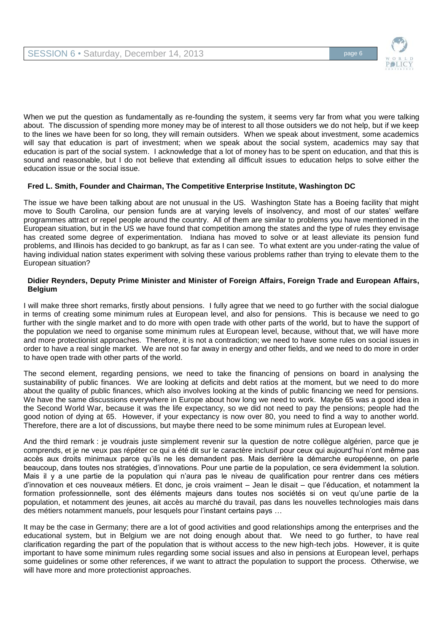

When we put the question as fundamentally as re-founding the system, it seems very far from what you were talking about. The discussion of spending more money may be of interest to all those outsiders we do not help, but if we keep to the lines we have been for so long, they will remain outsiders. When we speak about investment, some academics will say that education is part of investment; when we speak about the social system, academics may say that education is part of the social system. I acknowledge that a lot of money has to be spent on education, and that this is sound and reasonable, but I do not believe that extending all difficult issues to education helps to solve either the education issue or the social issue.

## **Fred L. Smith, Founder and Chairman, The Competitive Enterprise Institute, Washington DC**

The issue we have been talking about are not unusual in the US. Washington State has a Boeing facility that might move to South Carolina, our pension funds are at varying levels of insolvency, and most of our states' welfare programmes attract or repel people around the country. All of them are similar to problems you have mentioned in the European situation, but in the US we have found that competition among the states and the type of rules they envisage has created some degree of experimentation. Indiana has moved to solve or at least alleviate its pension fund problems, and Illinois has decided to go bankrupt, as far as I can see. To what extent are you under-rating the value of having individual nation states experiment with solving these various problems rather than trying to elevate them to the European situation?

### **Didier Reynders, Deputy Prime Minister and Minister of Foreign Affairs, Foreign Trade and European Affairs, Belgium**

I will make three short remarks, firstly about pensions. I fully agree that we need to go further with the social dialogue in terms of creating some minimum rules at European level, and also for pensions. This is because we need to go further with the single market and to do more with open trade with other parts of the world, but to have the support of the population we need to organise some minimum rules at European level, because, without that, we will have more and more protectionist approaches. Therefore, it is not a contradiction; we need to have some rules on social issues in order to have a real single market. We are not so far away in energy and other fields, and we need to do more in order to have open trade with other parts of the world.

The second element, regarding pensions, we need to take the financing of pensions on board in analysing the sustainability of public finances. We are looking at deficits and debt ratios at the moment, but we need to do more about the quality of public finances, which also involves looking at the kinds of public financing we need for pensions. We have the same discussions everywhere in Europe about how long we need to work. Maybe 65 was a good idea in the Second World War, because it was the life expectancy, so we did not need to pay the pensions; people had the good notion of dying at 65. However, if your expectancy is now over 80, you need to find a way to another world. Therefore, there are a lot of discussions, but maybe there need to be some minimum rules at European level.

And the third remark : je voudrais juste simplement revenir sur la question de notre collègue algérien, parce que je comprends, et je ne veux pas répéter ce qui a été dit sur le caractère inclusif pour ceux qui aujourd'hui n'ont même pas accès aux droits minimaux parce qu'ils ne les demandent pas. Mais derrière la démarche européenne, on parle beaucoup, dans toutes nos stratégies, d'innovations. Pour une partie de la population, ce sera évidemment la solution. Mais il y a une partie de la population qui n'aura pas le niveau de qualification pour rentrer dans ces métiers d'innovation et ces nouveaux métiers. Et donc, je crois vraiment – Jean le disait – que l'éducation, et notamment la formation professionnelle, sont des éléments majeurs dans toutes nos sociétés si on veut qu'une partie de la population, et notamment des jeunes, ait accès au marché du travail, pas dans les nouvelles technologies mais dans des métiers notamment manuels, pour lesquels pour l'instant certains pays …

It may be the case in Germany; there are a lot of good activities and good relationships among the enterprises and the educational system, but in Belgium we are not doing enough about that. We need to go further, to have real clarification regarding the part of the population that is without access to the new high-tech jobs. However, it is quite important to have some minimum rules regarding some social issues and also in pensions at European level, perhaps some guidelines or some other references, if we want to attract the population to support the process. Otherwise, we will have more and more protectionist approaches.